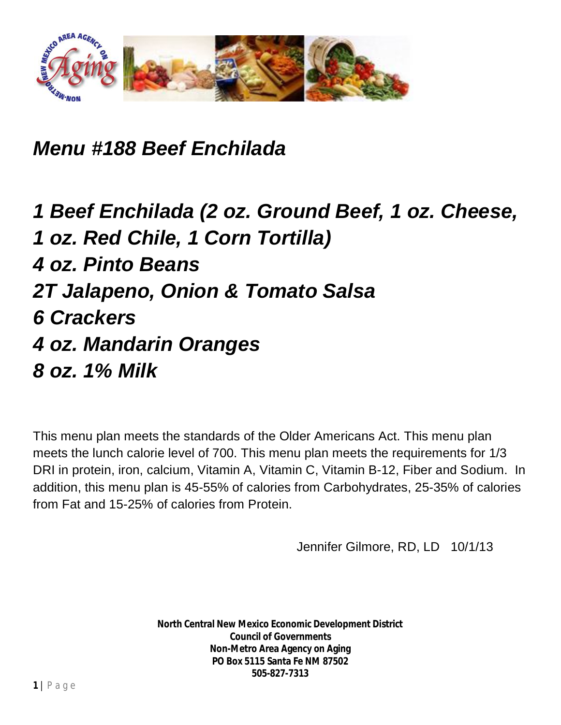

*Menu #188 Beef Enchilada*

*1 Beef Enchilada (2 oz. Ground Beef, 1 oz. Cheese, 1 oz. Red Chile, 1 Corn Tortilla) 4 oz. Pinto Beans 2T Jalapeno, Onion & Tomato Salsa 6 Crackers 4 oz. Mandarin Oranges 8 oz. 1% Milk*

This menu plan meets the standards of the Older Americans Act. This menu plan meets the lunch calorie level of 700. This menu plan meets the requirements for 1/3 DRI in protein, iron, calcium, Vitamin A, Vitamin C, Vitamin B-12, Fiber and Sodium. In addition, this menu plan is 45-55% of calories from Carbohydrates, 25-35% of calories from Fat and 15-25% of calories from Protein.

Jennifer Gilmore, RD, LD 10/1/13

**North Central New Mexico Economic Development District Council of Governments Non-Metro Area Agency on Aging PO Box 5115 Santa Fe NM 87502 505-827-7313**